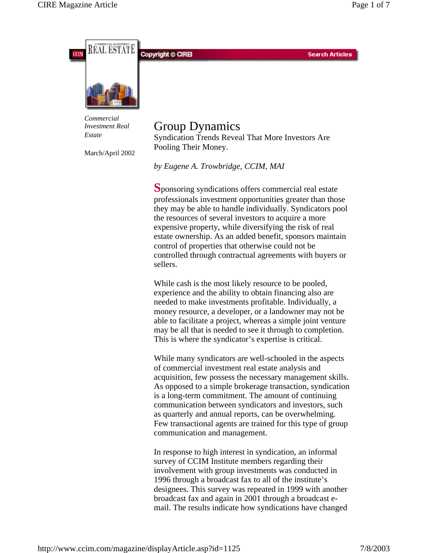



*Estate*

March/April 2002

# Group Dynamics

Syndication Trends Reveal That More Investors Are Pooling Their Money.

*by Eugene A. Trowbridge, CCIM, MAI*

**S**ponsoring syndications offers commercial real estate professionals investment opportunities greater than those they may be able to handle individually. Syndicators pool the resources of several investors to acquire a more expensive property, while diversifying the risk of real estate ownership. As an added benefit, sponsors maintain control of properties that otherwise could not be controlled through contractual agreements with buyers or sellers.

While cash is the most likely resource to be pooled, experience and the ability to obtain financing also are needed to make investments profitable. Individually, a money resource, a developer, or a landowner may not be able to facilitate a project, whereas a simple joint venture may be all that is needed to see it through to completion. This is where the syndicator's expertise is critical.

While many syndicators are well-schooled in the aspects of commercial investment real estate analysis and acquisition, few possess the necessary management skills. As opposed to a simple brokerage transaction, syndication is a long-term commitment. The amount of continuing communication between syndicators and investors, such as quarterly and annual reports, can be overwhelming. Few transactional agents are trained for this type of group communication and management.

In response to high interest in syndication, an informal survey of CCIM Institute members regarding their involvement with group investments was conducted in 1996 through a broadcast fax to all of the institute's designees. This survey was repeated in 1999 with another broadcast fax and again in 2001 through a broadcast email. The results indicate how syndications have changed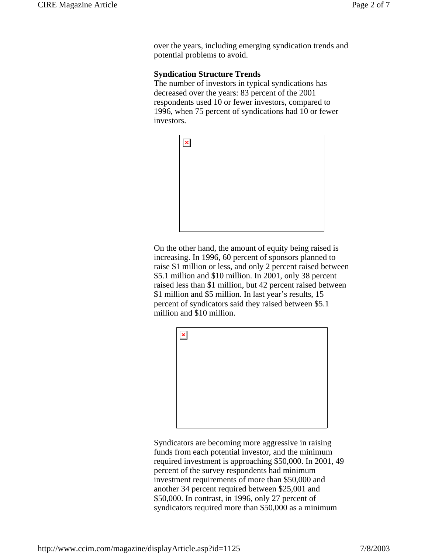over the years, including emerging syndication trends and potential problems to avoid.

#### **Syndication Structure Trends**

The number of investors in typical syndications has decreased over the years: 83 percent of the 2001 respondents used 10 or fewer investors, compared to 1996, when 75 percent of syndications had 10 or fewer investors.



On the other hand, the amount of equity being raised is increasing. In 1996, 60 percent of sponsors planned to raise \$1 million or less, and only 2 percent raised between \$5.1 million and \$10 million. In 2001, only 38 percent raised less than \$1 million, but 42 percent raised between \$1 million and \$5 million. In last year's results, 15 percent of syndicators said they raised between \$5.1 million and \$10 million.



Syndicators are becoming more aggressive in raising funds from each potential investor, and the minimum required investment is approaching \$50,000. In 2001, 49 percent of the survey respondents had minimum investment requirements of more than \$50,000 and another 34 percent required between \$25,001 and \$50,000. In contrast, in 1996, only 27 percent of syndicators required more than \$50,000 as a minimum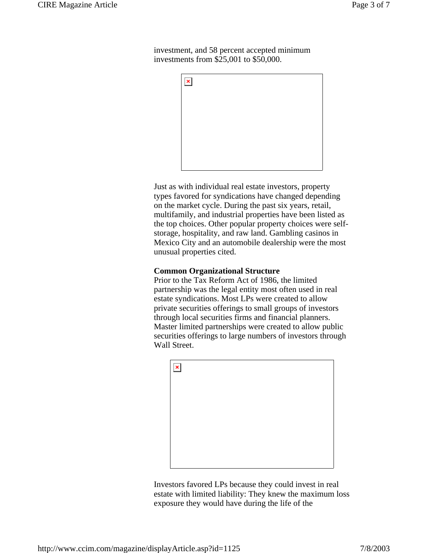investment, and 58 percent accepted minimum investments from \$25,001 to \$50,000.



Just as with individual real estate investors, property types favored for syndications have changed depending on the market cycle. During the past six years, retail, multifamily, and industrial properties have been listed as the top choices. Other popular property choices were selfstorage, hospitality, and raw land. Gambling casinos in Mexico City and an automobile dealership were the most unusual properties cited.

## **Common Organizational Structure**

Prior to the Tax Reform Act of 1986, the limited partnership was the legal entity most often used in real estate syndications. Most LPs were created to allow private securities offerings to small groups of investors through local securities firms and financial planners. Master limited partnerships were created to allow public securities offerings to large numbers of investors through Wall Street.



Investors favored LPs because they could invest in real estate with limited liability: They knew the maximum loss exposure they would have during the life of the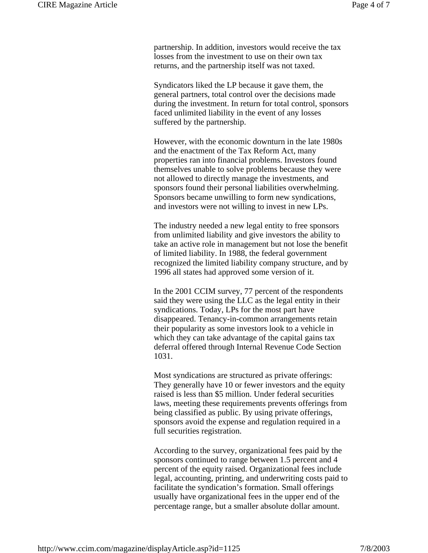partnership. In addition, investors would receive the tax losses from the investment to use on their own tax returns, and the partnership itself was not taxed.

Syndicators liked the LP because it gave them, the general partners, total control over the decisions made during the investment. In return for total control, sponsors faced unlimited liability in the event of any losses suffered by the partnership.

However, with the economic downturn in the late 1980s and the enactment of the Tax Reform Act, many properties ran into financial problems. Investors found themselves unable to solve problems because they were not allowed to directly manage the investments, and sponsors found their personal liabilities overwhelming. Sponsors became unwilling to form new syndications, and investors were not willing to invest in new LPs.

The industry needed a new legal entity to free sponsors from unlimited liability and give investors the ability to take an active role in management but not lose the benefit of limited liability. In 1988, the federal government recognized the limited liability company structure, and by 1996 all states had approved some version of it.

In the 2001 CCIM survey, 77 percent of the respondents said they were using the LLC as the legal entity in their syndications. Today, LPs for the most part have disappeared. Tenancy-in-common arrangements retain their popularity as some investors look to a vehicle in which they can take advantage of the capital gains tax deferral offered through Internal Revenue Code Section 1031.

Most syndications are structured as private offerings: They generally have 10 or fewer investors and the equity raised is less than \$5 million. Under federal securities laws, meeting these requirements prevents offerings from being classified as public. By using private offerings, sponsors avoid the expense and regulation required in a full securities registration.

According to the survey, organizational fees paid by the sponsors continued to range between 1.5 percent and 4 percent of the equity raised. Organizational fees include legal, accounting, printing, and underwriting costs paid to facilitate the syndication's formation. Small offerings usually have organizational fees in the upper end of the percentage range, but a smaller absolute dollar amount.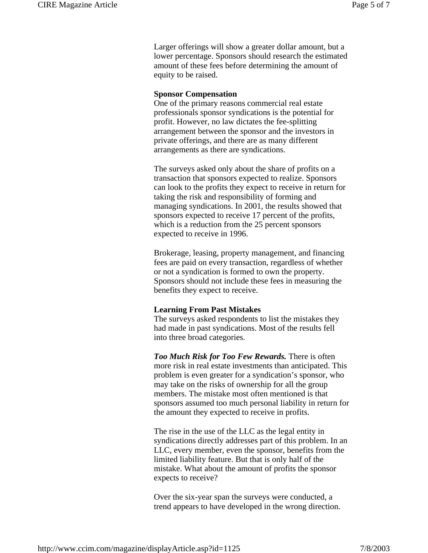Larger offerings will show a greater dollar amount, but a lower percentage. Sponsors should research the estimated amount of these fees before determining the amount of equity to be raised.

#### **Sponsor Compensation**

One of the primary reasons commercial real estate professionals sponsor syndications is the potential for profit. However, no law dictates the fee-splitting arrangement between the sponsor and the investors in private offerings, and there are as many different arrangements as there are syndications.

The surveys asked only about the share of profits on a transaction that sponsors expected to realize. Sponsors can look to the profits they expect to receive in return for taking the risk and responsibility of forming and managing syndications. In 2001, the results showed that sponsors expected to receive 17 percent of the profits, which is a reduction from the 25 percent sponsors expected to receive in 1996.

Brokerage, leasing, property management, and financing fees are paid on every transaction, regardless of whether or not a syndication is formed to own the property. Sponsors should not include these fees in measuring the benefits they expect to receive.

### **Learning From Past Mistakes**

The surveys asked respondents to list the mistakes they had made in past syndications. Most of the results fell into three broad categories.

*Too Much Risk for Too Few Rewards.* There is often more risk in real estate investments than anticipated. This problem is even greater for a syndication's sponsor, who may take on the risks of ownership for all the group members. The mistake most often mentioned is that sponsors assumed too much personal liability in return for the amount they expected to receive in profits.

The rise in the use of the LLC as the legal entity in syndications directly addresses part of this problem. In an LLC, every member, even the sponsor, benefits from the limited liability feature. But that is only half of the mistake. What about the amount of profits the sponsor expects to receive?

Over the six-year span the surveys were conducted, a trend appears to have developed in the wrong direction.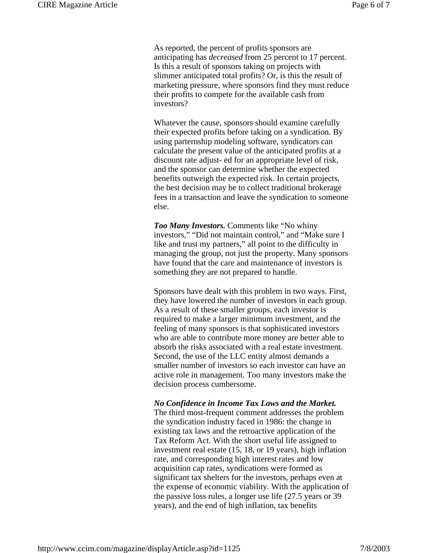As reported, the percent of profits sponsors are anticipating has *decreased* from 25 percent to 17 percent. Is this a result of sponsors taking on projects with slimmer anticipated total profits? Or, is this the result of marketing pressure, where sponsors find they must reduce their profits to compete for the available cash from investors?

Whatever the cause, sponsors should examine carefully their expected profits before taking on a syndication. By using parternship modeling software, syndicators can calculate the present value of the anticipated profits at a discount rate adjust- ed for an appropriate level of risk, and the sponsor can determine whether the expected benefits outweigh the expected risk. In certain projects, the best decision may be to collect traditional brokerage fees in a transaction and leave the syndication to someone else.

*Too Many Investors.* Comments like "No whiny investors," "Did not maintain control," and "Make sure I like and trust my partners," all point to the difficulty in managing the group, not just the property. Many sponsors have found that the care and maintenance of investors is something they are not prepared to handle.

Sponsors have dealt with this problem in two ways. First, they have lowered the number of investors in each group. As a result of these smaller groups, each investor is required to make a larger minimum investment, and the feeling of many sponsors is that sophisticated investors who are able to contribute more money are better able to absorb the risks associated with a real estate investment. Second, the use of the LLC entity almost demands a smaller number of investors so each investor can have an active role in management. Too many investors make the decision process cumbersome.

#### *No Confidence in Income Tax Laws and the Market.*

The third most-frequent comment addresses the problem the syndication industry faced in 1986: the change in existing tax laws and the retroactive application of the Tax Reform Act. With the short useful life assigned to investment real estate (15, 18, or 19 years), high inflation rate, and corresponding high interest rates and low acquisition cap rates, syndications were formed as significant tax shelters for the investors, perhaps even at the expense of economic viability. With the application of the passive loss rules, a longer use life (27.5 years or 39 years), and the end of high inflation, tax benefits